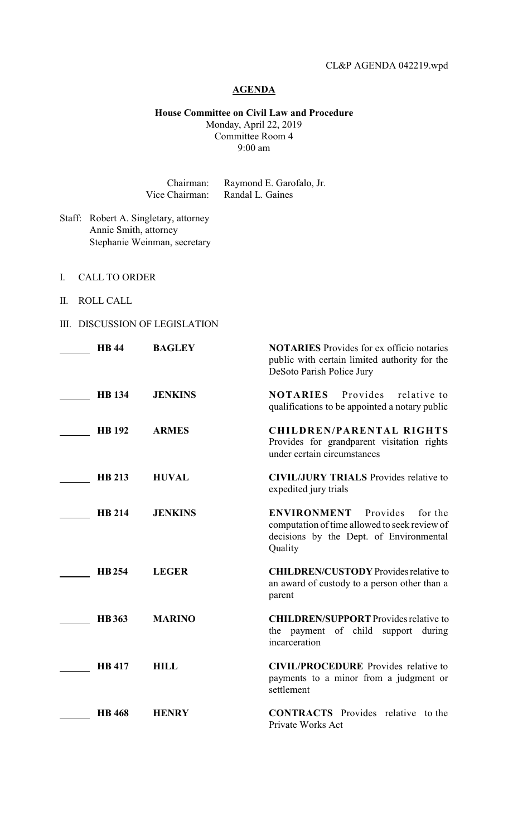## **AGENDA**

**House Committee on Civil Law and Procedure** Monday, April 22, 2019 Committee Room 4 9:00 am

Chairman: Raymond E. Garofalo, Jr. Vice Chairman: Randal L. Gaines

- Staff: Robert A. Singletary, attorney Annie Smith, attorney Stephanie Weinman, secretary
- I. CALL TO ORDER
- II. ROLL CALL
- III. DISCUSSION OF LEGISLATION

| <b>HB44</b>   | <b>BAGLEY</b>  | <b>NOTARIES</b> Provides for ex officio notaries<br>public with certain limited authority for the<br>DeSoto Parish Police Jury                   |
|---------------|----------------|--------------------------------------------------------------------------------------------------------------------------------------------------|
| <b>HB</b> 134 | <b>JENKINS</b> | Provides<br><b>NOTARIES</b><br>relative to<br>qualifications to be appointed a notary public                                                     |
| <b>HB</b> 192 | <b>ARMES</b>   | <b>CHILDREN/PARENTAL RIGHTS</b><br>Provides for grandparent visitation rights<br>under certain circumstances                                     |
| <b>HB 213</b> | <b>HUVAL</b>   | <b>CIVIL/JURY TRIALS</b> Provides relative to<br>expedited jury trials                                                                           |
| <b>HB 214</b> | <b>JENKINS</b> | <b>ENVIRONMENT</b><br>Provides<br>for the<br>computation of time allowed to seek review of<br>decisions by the Dept. of Environmental<br>Quality |
| <b>HB254</b>  | <b>LEGER</b>   | <b>CHILDREN/CUSTODY</b> Provides relative to<br>an award of custody to a person other than a<br>parent                                           |
| <b>HB</b> 363 | <b>MARINO</b>  | <b>CHILDREN/SUPPORT</b> Provides relative to<br>the payment of child support<br>during<br>incarceration                                          |
| <b>HB</b> 417 | <b>HILL</b>    | <b>CIVIL/PROCEDURE</b> Provides relative to<br>payments to a minor from a judgment or<br>settlement                                              |
| <b>HB</b> 468 | <b>HENRY</b>   | <b>CONTRACTS</b> Provides relative to the<br>Private Works Act                                                                                   |